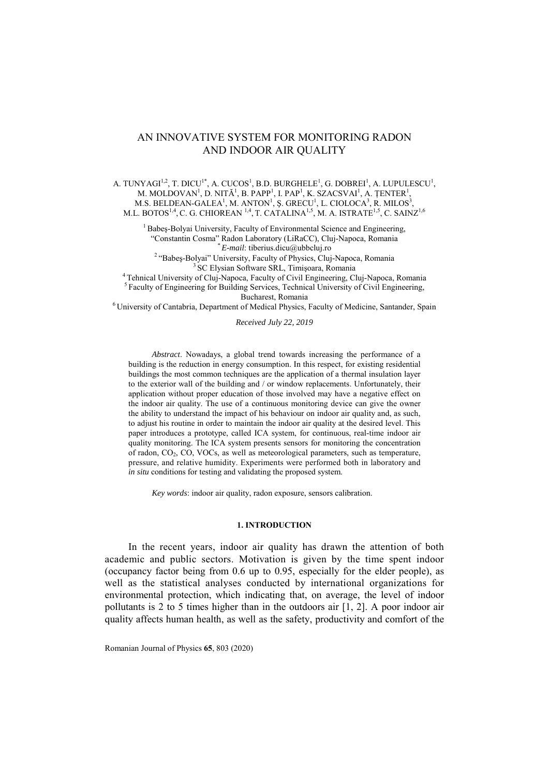# AN INNOVATIVE SYSTEM FOR MONITORING RADON AND INDOOR AIR QUALITY

A. TUNYAGI<sup>1,2</sup>, T. DICU<sup>1\*</sup>, A. CUCOS<sup>1</sup>, B.D. BURGHELE<sup>1</sup>, G. DOBREI<sup>1</sup>, A. LUPULESCU<sup>1</sup>, M. MOLDOVAN<sup>1</sup>, D. NITĂ<sup>1</sup>, B. PAPP<sup>1</sup>, I. PAP<sup>1</sup>, K. SZACSVAI<sup>1</sup>, A. ȚENTER<sup>1</sup>, M.S. BELDEAN-GALEA<sup>1</sup>, M. ANTON<sup>1</sup>, Ş. GRECU<sup>1</sup>, L. CIOLOCA<sup>3</sup>, R. MILOS<sup>3</sup>, M.L. BOTOS $^{1,4}$ , C. G. CHIOREAN  $^{1,4}$ , T. CATALINA $^{1,5}$ , M. A. ISTRATE $^{1,5}$ , C. SAINZ $^{1,6}$ 

<sup>1</sup> Babeş-Bolyai University, Faculty of Environmental Science and Engineering, "Constantin Cosma" Radon Laboratory (LiRaCC), Cluj-Napoca, Romania

<sup>2</sup> "Babeş-Bolyai" University, Faculty of Physics, Cluj-Napoca, Romania<br><sup>2</sup> "Babeş-Bolyai" University, Faculty of Physics, Cluj-Napoca, Romania<br><sup>3</sup> SC Elysian Software SRL, Timișoara, Romania<br><sup>5</sup> Faculty of Engineering for Bucharest, Romania 6 University of Cantabria, Department of Medical Physics, Faculty of Medicine, Santander, Spain

### *Received July 22, 2019*

*Abstract*. Nowadays, a global trend towards increasing the performance of a building is the reduction in energy consumption. In this respect, for existing residential buildings the most common techniques are the application of a thermal insulation layer to the exterior wall of the building and / or window replacements. Unfortunately, their application without proper education of those involved may have a negative effect on the indoor air quality. The use of a continuous monitoring device can give the owner the ability to understand the impact of his behaviour on indoor air quality and, as such, to adjust his routine in order to maintain the indoor air quality at the desired level. This paper introduces a prototype, called ICA system, for continuous, real-time indoor air quality monitoring. The ICA system presents sensors for monitoring the concentration of radon,  $CO<sub>2</sub>$ ,  $CO<sub>3</sub>$ ,  $VOC<sub>5</sub>$ , as well as meteorological parameters, such as temperature, pressure, and relative humidity. Experiments were performed both in laboratory and *in situ* conditions for testing and validating the proposed system.

*Key words*: indoor air quality, radon exposure, sensors calibration.

### **1. INTRODUCTION**

In the recent years, indoor air quality has drawn the attention of both academic and public sectors. Motivation is given by the time spent indoor (occupancy factor being from 0.6 up to 0.95, especially for the elder people), as well as the statistical analyses conducted by international organizations for environmental protection, which indicating that, on average, the level of indoor pollutants is 2 to 5 times higher than in the outdoors air [1, 2]. A poor indoor air quality affects human health, as well as the safety, productivity and comfort of the

Romanian Journal of Physics **65**, 803 (2020)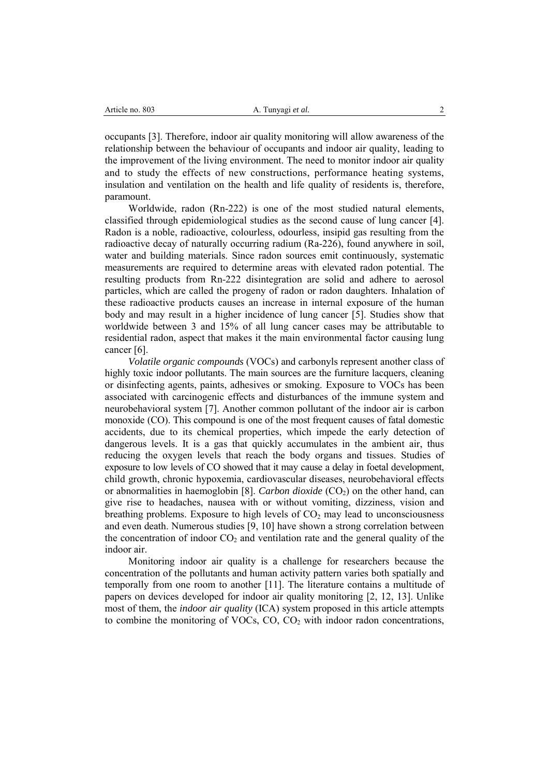occupants [3]. Therefore, indoor air quality monitoring will allow awareness of the relationship between the behaviour of occupants and indoor air quality, leading to the improvement of the living environment. The need to monitor indoor air quality and to study the effects of new constructions, performance heating systems, insulation and ventilation on the health and life quality of residents is, therefore, paramount.

Worldwide, radon (Rn-222) is one of the most studied natural elements, classified through epidemiological studies as the second cause of lung cancer [4]. Radon is a noble, radioactive, colourless, odourless, insipid gas resulting from the radioactive decay of naturally occurring radium (Ra-226), found anywhere in soil, water and building materials. Since radon sources emit continuously, systematic measurements are required to determine areas with elevated radon potential. The resulting products from Rn-222 disintegration are solid and adhere to aerosol particles, which are called the progeny of radon or radon daughters. Inhalation of these radioactive products causes an increase in internal exposure of the human body and may result in a higher incidence of lung cancer [5]. Studies show that worldwide between 3 and 15% of all lung cancer cases may be attributable to residential radon, aspect that makes it the main environmental factor causing lung cancer [6].

*Volatile organic compounds* (VOCs) and carbonyls represent another class of highly toxic indoor pollutants. The main sources are the furniture lacquers, cleaning or disinfecting agents, paints, adhesives or smoking. Exposure to VOCs has been associated with carcinogenic effects and disturbances of the immune system and neurobehavioral system [7]. Another common pollutant of the indoor air is carbon monoxide (CO). This compound is one of the most frequent causes of fatal domestic accidents, due to its chemical properties, which impede the early detection of dangerous levels. It is a gas that quickly accumulates in the ambient air, thus reducing the oxygen levels that reach the body organs and tissues. Studies of exposure to low levels of CO showed that it may cause a delay in foetal development, child growth, chronic hypoxemia, cardiovascular diseases, neurobehavioral effects or abnormalities in haemoglobin [8]. *Carbon dioxide* (CO<sub>2</sub>) on the other hand, can give rise to headaches, nausea with or without vomiting, dizziness, vision and breathing problems. Exposure to high levels of  $CO<sub>2</sub>$  may lead to unconsciousness and even death. Numerous studies [9, 10] have shown a strong correlation between the concentration of indoor  $CO<sub>2</sub>$  and ventilation rate and the general quality of the indoor air.

Monitoring indoor air quality is a challenge for researchers because the concentration of the pollutants and human activity pattern varies both spatially and temporally from one room to another [11]. The literature contains a multitude of papers on devices developed for indoor air quality monitoring [2, 12, 13]. Unlike most of them, the *indoor air quality* (ICA) system proposed in this article attempts to combine the monitoring of VOCs,  $CO$ ,  $CO$ , with indoor radon concentrations,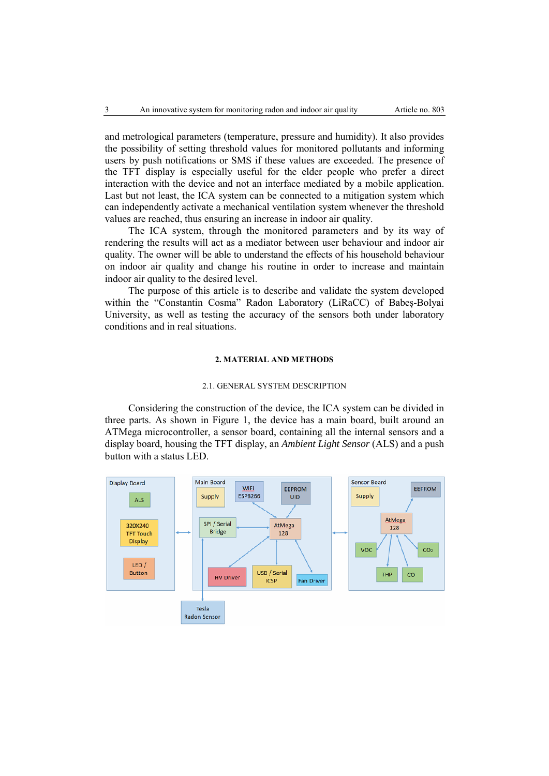and metrological parameters (temperature, pressure and humidity). It also provides the possibility of setting threshold values for monitored pollutants and informing users by push notifications or SMS if these values are exceeded. The presence of the TFT display is especially useful for the elder people who prefer a direct interaction with the device and not an interface mediated by a mobile application. Last but not least, the ICA system can be connected to a mitigation system which can independently activate a mechanical ventilation system whenever the threshold values are reached, thus ensuring an increase in indoor air quality.

The ICA system, through the monitored parameters and by its way of rendering the results will act as a mediator between user behaviour and indoor air quality. The owner will be able to understand the effects of his household behaviour on indoor air quality and change his routine in order to increase and maintain indoor air quality to the desired level.

The purpose of this article is to describe and validate the system developed within the "Constantin Cosma" Radon Laboratory (LiRaCC) of Babeș-Bolyai University, as well as testing the accuracy of the sensors both under laboratory conditions and in real situations.

### **2. MATERIAL AND METHODS**

#### 2.1. GENERAL SYSTEM DESCRIPTION

Considering the construction of the device, the ICA system can be divided in three parts. As shown in Figure 1, the device has a main board, built around an ATMega microcontroller, a sensor board, containing all the internal sensors and a display board, housing the TFT display, an *Ambient Light Sensor* (ALS) and a push button with a status LED.

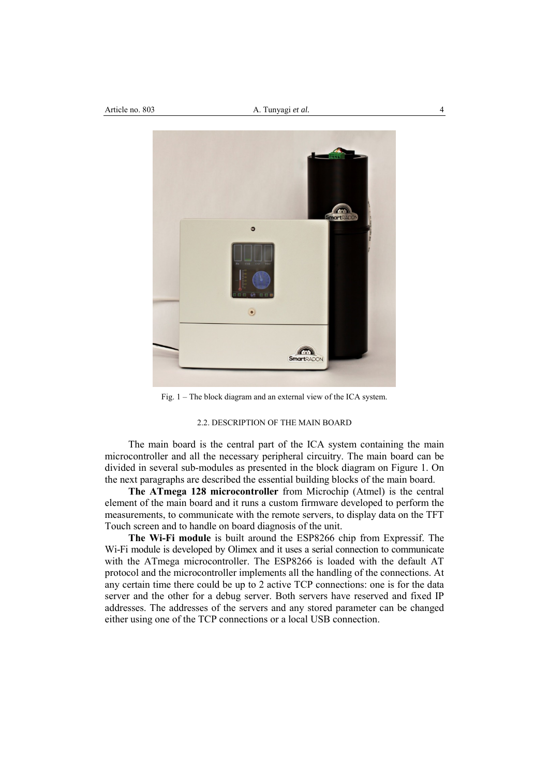

Fig. 1 – The block diagram and an external view of the ICA system.

## 2.2. DESCRIPTION OF THE MAIN BOARD

The main board is the central part of the ICA system containing the main microcontroller and all the necessary peripheral circuitry. The main board can be divided in several sub-modules as presented in the block diagram on Figure 1. On the next paragraphs are described the essential building blocks of the main board.

**The ATmega 128 microcontroller** from Microchip (Atmel) is the central element of the main board and it runs a custom firmware developed to perform the measurements, to communicate with the remote servers, to display data on the TFT Touch screen and to handle on board diagnosis of the unit.

**The Wi-Fi module** is built around the ESP8266 chip from Expressif. The Wi-Fi module is developed by Olimex and it uses a serial connection to communicate with the ATmega microcontroller. The ESP8266 is loaded with the default AT protocol and the microcontroller implements all the handling of the connections. At any certain time there could be up to 2 active TCP connections: one is for the data server and the other for a debug server. Both servers have reserved and fixed IP addresses. The addresses of the servers and any stored parameter can be changed either using one of the TCP connections or a local USB connection.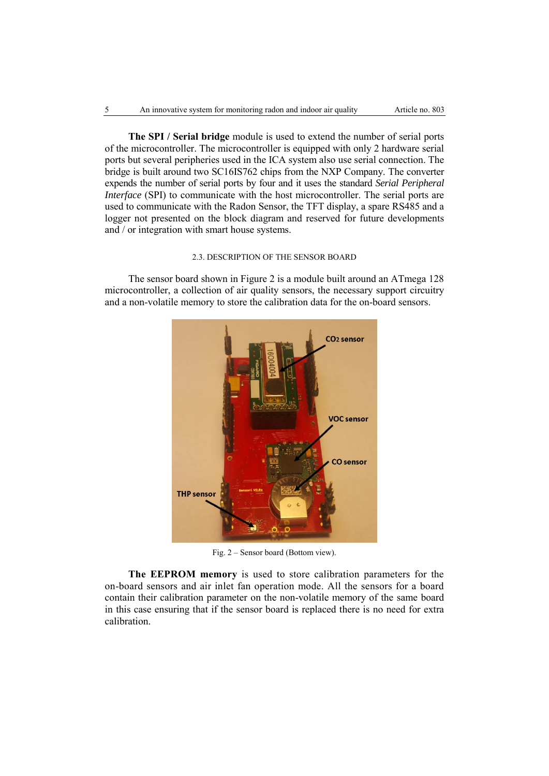**The SPI / Serial bridge** module is used to extend the number of serial ports of the microcontroller. The microcontroller is equipped with only 2 hardware serial ports but several peripheries used in the ICA system also use serial connection. The bridge is built around two SC16IS762 chips from the NXP Company. The converter expends the number of serial ports by four and it uses the standard *Serial Peripheral Interface* (SPI) to communicate with the host microcontroller. The serial ports are used to communicate with the Radon Sensor, the TFT display, a spare RS485 and a logger not presented on the block diagram and reserved for future developments and / or integration with smart house systems.

# 2.3. DESCRIPTION OF THE SENSOR BOARD

The sensor board shown in Figure 2 is a module built around an ATmega 128 microcontroller, a collection of air quality sensors, the necessary support circuitry and a non-volatile memory to store the calibration data for the on-board sensors.



Fig. 2 – Sensor board (Bottom view).

**The EEPROM memory** is used to store calibration parameters for the on-board sensors and air inlet fan operation mode. All the sensors for a board contain their calibration parameter on the non-volatile memory of the same board in this case ensuring that if the sensor board is replaced there is no need for extra calibration.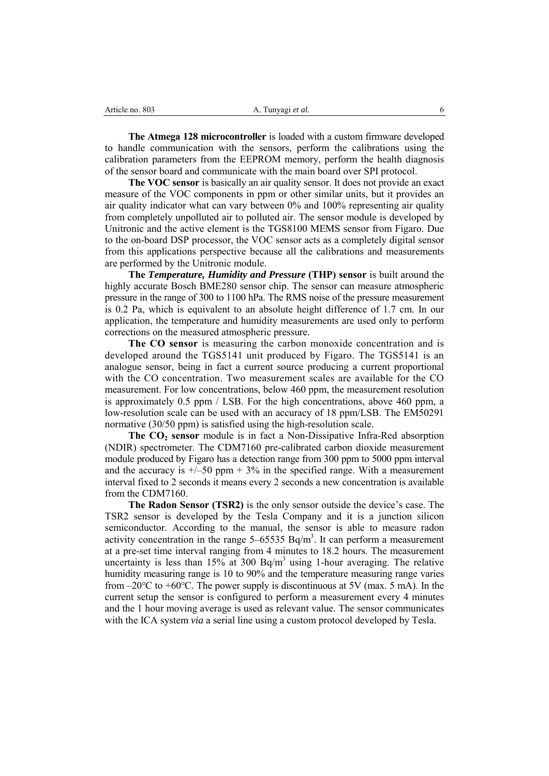| Article no. 803 | $\mathbf{r}$<br>A. Tunyagi et al. |  |
|-----------------|-----------------------------------|--|
|                 |                                   |  |

**The Atmega 128 microcontroller** is loaded with a custom firmware developed to handle communication with the sensors, perform the calibrations using the calibration parameters from the EEPROM memory, perform the health diagnosis of the sensor board and communicate with the main board over SPI protocol.

**The VOC sensor** is basically an air quality sensor. It does not provide an exact measure of the VOC components in ppm or other similar units, but it provides an air quality indicator what can vary between 0% and 100% representing air quality from completely unpolluted air to polluted air. The sensor module is developed by Unitronic and the active element is the TGS8100 MEMS sensor from Figaro. Due to the on-board DSP processor, the VOC sensor acts as a completely digital sensor from this applications perspective because all the calibrations and measurements are performed by the Unitronic module.

**The** *Temperature, Humidity and Pressure* **(THP) sensor** is built around the highly accurate Bosch BME280 sensor chip. The sensor can measure atmospheric pressure in the range of 300 to 1100 hPa. The RMS noise of the pressure measurement is 0.2 Pa, which is equivalent to an absolute height difference of 1.7 cm. In our application, the temperature and humidity measurements are used only to perform corrections on the measured atmospheric pressure.

**The CO sensor** is measuring the carbon monoxide concentration and is developed around the TGS5141 unit produced by Figaro. The TGS5141 is an analogue sensor, being in fact a current source producing a current proportional with the CO concentration. Two measurement scales are available for the CO measurement. For low concentrations, below 460 ppm, the measurement resolution is approximately 0.5 ppm / LSB. For the high concentrations, above 460 ppm, a low-resolution scale can be used with an accuracy of 18 ppm/LSB. The EM50291 normative (30/50 ppm) is satisfied using the high-resolution scale.

The CO<sub>2</sub> sensor module is in fact a Non-Dissipative Infra-Red absorption (NDIR) spectrometer. The CDM7160 pre-calibrated carbon dioxide measurement module produced by Figaro has a detection range from 300 ppm to 5000 ppm interval and the accuracy is  $\pm$ /-50 ppm  $+$  3% in the specified range. With a measurement interval fixed to 2 seconds it means every 2 seconds a new concentration is available from the CDM7160.

**The Radon Sensor (TSR2)** is the only sensor outside the device's case. The TSR2 sensor is developed by the Tesla Company and it is a junction silicon semiconductor. According to the manual, the sensor is able to measure radon activity concentration in the range  $5-65535$  Bq/m<sup>3</sup>. It can perform a measurement at a pre-set time interval ranging from 4 minutes to 18.2 hours. The measurement uncertainty is less than  $15\%$  at 300 Bq/m<sup>3</sup> using 1-hour averaging. The relative humidity measuring range is 10 to 90% and the temperature measuring range varies from –20 $\degree$ C to +60 $\degree$ C. The power supply is discontinuous at 5V (max. 5 mA). In the current setup the sensor is configured to perform a measurement every 4 minutes and the 1 hour moving average is used as relevant value. The sensor communicates with the ICA system *via* a serial line using a custom protocol developed by Tesla.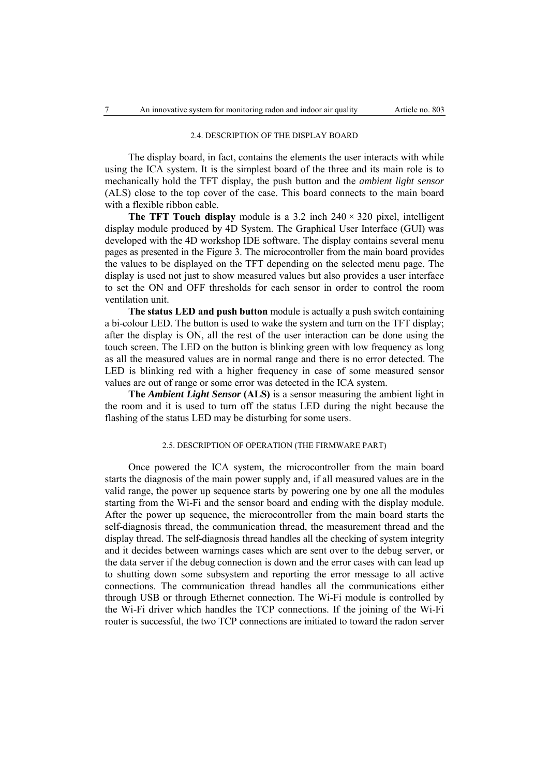# 2.4. DESCRIPTION OF THE DISPLAY BOARD

The display board, in fact, contains the elements the user interacts with while using the ICA system. It is the simplest board of the three and its main role is to mechanically hold the TFT display, the push button and the *ambient light sensor* (ALS) close to the top cover of the case. This board connects to the main board with a flexible ribbon cable.

**The TFT Touch display** module is a 3.2 inch  $240 \times 320$  pixel, intelligent display module produced by 4D System. The Graphical User Interface (GUI) was developed with the 4D workshop IDE software. The display contains several menu pages as presented in the Figure 3. The microcontroller from the main board provides the values to be displayed on the TFT depending on the selected menu page. The display is used not just to show measured values but also provides a user interface to set the ON and OFF thresholds for each sensor in order to control the room ventilation unit.

**The status LED and push button** module is actually a push switch containing a bi-colour LED. The button is used to wake the system and turn on the TFT display; after the display is ON, all the rest of the user interaction can be done using the touch screen. The LED on the button is blinking green with low frequency as long as all the measured values are in normal range and there is no error detected. The LED is blinking red with a higher frequency in case of some measured sensor values are out of range or some error was detected in the ICA system.

**The** *Ambient Light Sensor* **(ALS)** is a sensor measuring the ambient light in the room and it is used to turn off the status LED during the night because the flashing of the status LED may be disturbing for some users.

# 2.5. DESCRIPTION OF OPERATION (THE FIRMWARE PART)

Once powered the ICA system, the microcontroller from the main board starts the diagnosis of the main power supply and, if all measured values are in the valid range, the power up sequence starts by powering one by one all the modules starting from the Wi-Fi and the sensor board and ending with the display module. After the power up sequence, the microcontroller from the main board starts the self-diagnosis thread, the communication thread, the measurement thread and the display thread. The self-diagnosis thread handles all the checking of system integrity and it decides between warnings cases which are sent over to the debug server, or the data server if the debug connection is down and the error cases with can lead up to shutting down some subsystem and reporting the error message to all active connections. The communication thread handles all the communications either through USB or through Ethernet connection. The Wi-Fi module is controlled by the Wi-Fi driver which handles the TCP connections. If the joining of the Wi-Fi router is successful, the two TCP connections are initiated to toward the radon server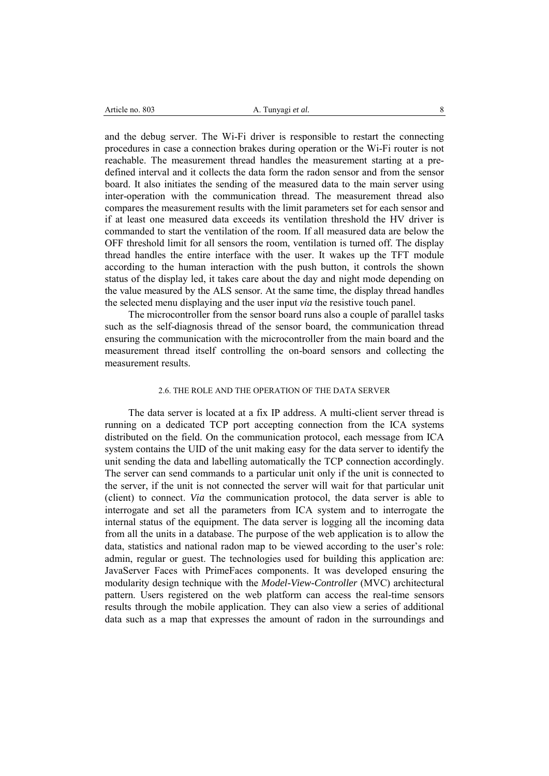| Article no. 803 | A. Tunyagi et al. |
|-----------------|-------------------|
|                 |                   |

and the debug server. The Wi-Fi driver is responsible to restart the connecting procedures in case a connection brakes during operation or the Wi-Fi router is not reachable. The measurement thread handles the measurement starting at a predefined interval and it collects the data form the radon sensor and from the sensor board. It also initiates the sending of the measured data to the main server using inter-operation with the communication thread. The measurement thread also compares the measurement results with the limit parameters set for each sensor and if at least one measured data exceeds its ventilation threshold the HV driver is commanded to start the ventilation of the room. If all measured data are below the OFF threshold limit for all sensors the room, ventilation is turned off. The display thread handles the entire interface with the user. It wakes up the TFT module according to the human interaction with the push button, it controls the shown status of the display led, it takes care about the day and night mode depending on the value measured by the ALS sensor. At the same time, the display thread handles the selected menu displaying and the user input *via* the resistive touch panel.

The microcontroller from the sensor board runs also a couple of parallel tasks such as the self-diagnosis thread of the sensor board, the communication thread ensuring the communication with the microcontroller from the main board and the measurement thread itself controlling the on-board sensors and collecting the measurement results.

### 2.6. THE ROLE AND THE OPERATION OF THE DATA SERVER

The data server is located at a fix IP address. A multi-client server thread is running on a dedicated TCP port accepting connection from the ICA systems distributed on the field. On the communication protocol, each message from ICA system contains the UID of the unit making easy for the data server to identify the unit sending the data and labelling automatically the TCP connection accordingly. The server can send commands to a particular unit only if the unit is connected to the server, if the unit is not connected the server will wait for that particular unit (client) to connect. *Via* the communication protocol, the data server is able to interrogate and set all the parameters from ICA system and to interrogate the internal status of the equipment. The data server is logging all the incoming data from all the units in a database. The purpose of the web application is to allow the data, statistics and national radon map to be viewed according to the user's role: admin, regular or guest. The technologies used for building this application are: JavaServer Faces with PrimeFaces components. It was developed ensuring the modularity design technique with the *Model-View-Controller* (MVC) architectural pattern. Users registered on the web platform can access the real-time sensors results through the mobile application. They can also view a series of additional data such as a map that expresses the amount of radon in the surroundings and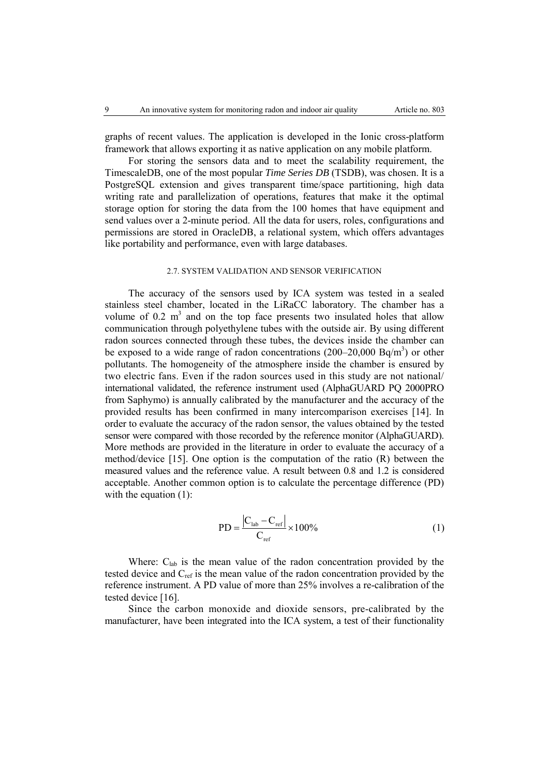graphs of recent values. The application is developed in the Ionic cross-platform framework that allows exporting it as native application on any mobile platform.

For storing the sensors data and to meet the scalability requirement, the TimescaleDB, one of the most popular *Time Series DB* (TSDB), was chosen. It is a PostgreSQL extension and gives transparent time/space partitioning, high data writing rate and parallelization of operations, features that make it the optimal storage option for storing the data from the 100 homes that have equipment and send values over a 2-minute period. All the data for users, roles, configurations and permissions are stored in OracleDB, a relational system, which offers advantages like portability and performance, even with large databases.

### 2.7. SYSTEM VALIDATION AND SENSOR VERIFICATION

The accuracy of the sensors used by ICA system was tested in a sealed stainless steel chamber, located in the LiRaCC laboratory. The chamber has a volume of 0.2  $m<sup>3</sup>$  and on the top face presents two insulated holes that allow communication through polyethylene tubes with the outside air. By using different radon sources connected through these tubes, the devices inside the chamber can be exposed to a wide range of radon concentrations  $(200-20,000 \text{ Bq/m}^3)$  or other pollutants. The homogeneity of the atmosphere inside the chamber is ensured by two electric fans. Even if the radon sources used in this study are not national/ international validated, the reference instrument used (AlphaGUARD PQ 2000PRO from Saphymo) is annually calibrated by the manufacturer and the accuracy of the provided results has been confirmed in many intercomparison exercises [14]. In order to evaluate the accuracy of the radon sensor, the values obtained by the tested sensor were compared with those recorded by the reference monitor (AlphaGUARD). More methods are provided in the literature in order to evaluate the accuracy of a method/device [15]. One option is the computation of the ratio (R) between the measured values and the reference value. A result between 0.8 and 1.2 is considered acceptable. Another common option is to calculate the percentage difference (PD) with the equation (1):

$$
PD = \frac{|C_{\text{lab}} - C_{\text{ref}}|}{C_{\text{ref}}} \times 100\%
$$
 (1)

Where:  $C_{lab}$  is the mean value of the radon concentration provided by the tested device and Cref is the mean value of the radon concentration provided by the reference instrument. A PD value of more than 25% involves a re-calibration of the tested device [16].

Since the carbon monoxide and dioxide sensors, pre-calibrated by the manufacturer, have been integrated into the ICA system, a test of their functionality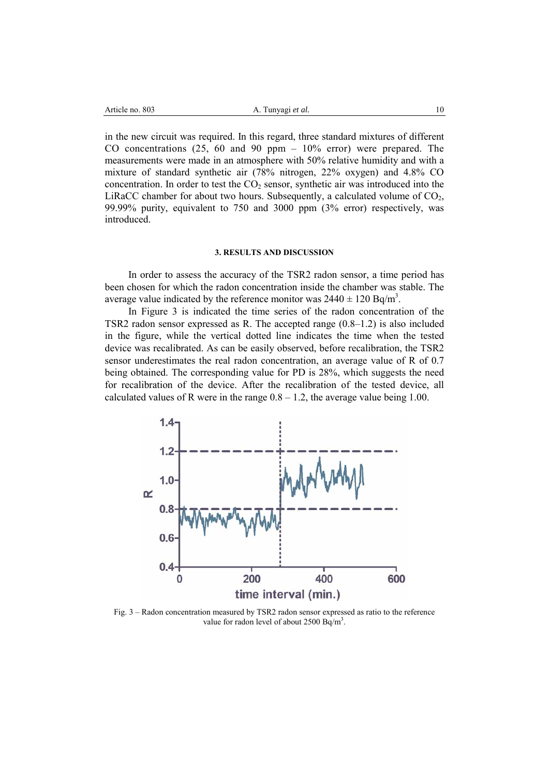| Article no. 803 | A. Tunyagi et al. |
|-----------------|-------------------|
|                 |                   |

10

in the new circuit was required. In this regard, three standard mixtures of different CO concentrations  $(25, 60$  and  $90$  ppm  $-10\%$  error) were prepared. The measurements were made in an atmosphere with 50% relative humidity and with a mixture of standard synthetic air (78% nitrogen, 22% oxygen) and 4.8% CO concentration. In order to test the  $CO<sub>2</sub>$  sensor, synthetic air was introduced into the LiRaCC chamber for about two hours. Subsequently, a calculated volume of  $CO<sub>2</sub>$ , 99.99% purity, equivalent to 750 and 3000 ppm (3% error) respectively, was introduced.

#### **3. RESULTS AND DISCUSSION**

In order to assess the accuracy of the TSR2 radon sensor, a time period has been chosen for which the radon concentration inside the chamber was stable. The average value indicated by the reference monitor was  $2440 \pm 120$  Bq/m<sup>3</sup>.

In Figure 3 is indicated the time series of the radon concentration of the TSR2 radon sensor expressed as R. The accepted range (0.8–1.2) is also included in the figure, while the vertical dotted line indicates the time when the tested device was recalibrated. As can be easily observed, before recalibration, the TSR2 sensor underestimates the real radon concentration, an average value of R of 0.7 being obtained. The corresponding value for PD is 28%, which suggests the need for recalibration of the device. After the recalibration of the tested device, all calculated values of R were in the range  $0.8 - 1.2$ , the average value being 1.00.



Fig. 3 – Radon concentration measured by TSR2 radon sensor expressed as ratio to the reference value for radon level of about  $2500 \text{ Bq/m}^3$ .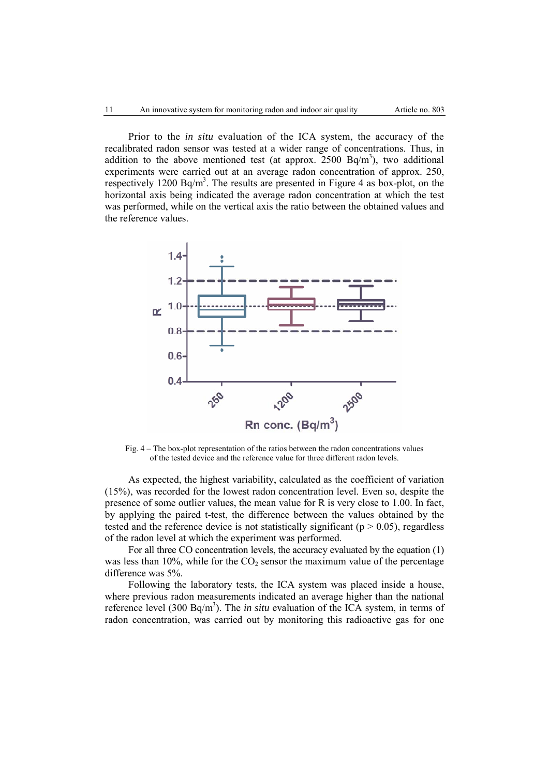Prior to the *in situ* evaluation of the ICA system, the accuracy of the recalibrated radon sensor was tested at a wider range of concentrations. Thus, in addition to the above mentioned test (at approx.  $2500 \text{ Bq/m}^3$ ), two additional experiments were carried out at an average radon concentration of approx. 250, respectively 1200 Bq/m<sup>3</sup>. The results are presented in Figure 4 as box-plot, on the horizontal axis being indicated the average radon concentration at which the test was performed, while on the vertical axis the ratio between the obtained values and the reference values.



Fig. 4 – The box-plot representation of the ratios between the radon concentrations values of the tested device and the reference value for three different radon levels.

As expected, the highest variability, calculated as the coefficient of variation (15%), was recorded for the lowest radon concentration level. Even so, despite the presence of some outlier values, the mean value for R is very close to 1.00. In fact, by applying the paired t-test, the difference between the values obtained by the tested and the reference device is not statistically significant ( $p > 0.05$ ), regardless of the radon level at which the experiment was performed.

For all three CO concentration levels, the accuracy evaluated by the equation (1) was less than 10%, while for the  $CO<sub>2</sub>$  sensor the maximum value of the percentage difference was 5%.

Following the laboratory tests, the ICA system was placed inside a house, where previous radon measurements indicated an average higher than the national reference level (300 Bq/m<sup>3</sup>). The *in situ* evaluation of the ICA system, in terms of radon concentration, was carried out by monitoring this radioactive gas for one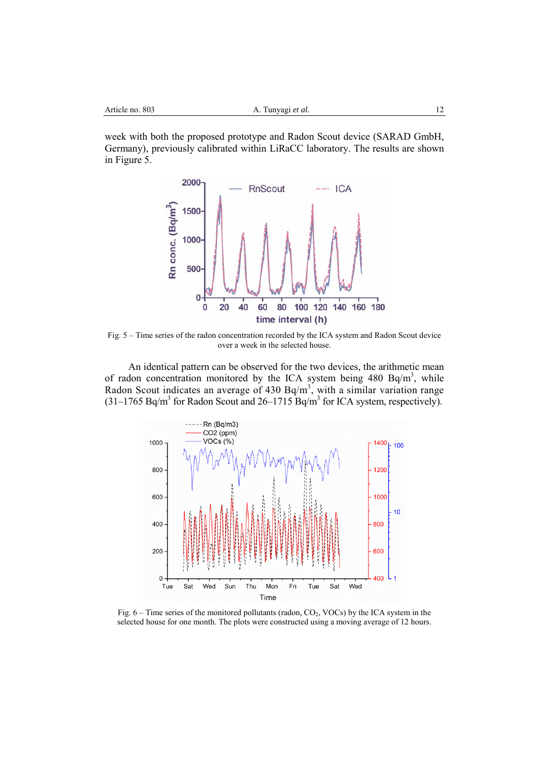week with both the proposed prototype and Radon Scout device (SARAD GmbH, Germany), previously calibrated within LiRaCC laboratory. The results are shown in Figure 5.



Fig. 5 – Time series of the radon concentration recorded by the ICA system and Radon Scout device over a week in the selected house.

An identical pattern can be observed for the two devices, the arithmetic mean of radon concentration monitored by the ICA system being  $480$  Bq/m<sup>3</sup>, while Radon Scout indicates an average of 430 Bq/m<sup>3</sup>, with a similar variation range  $(31-1765 \text{ Bq/m}^3$  for Radon Scout and  $26-1715 \text{ Bq/m}^3$  for ICA system, respectively).



Fig.  $6 -$  Time series of the monitored pollutants (radon, CO<sub>2</sub>, VOCs) by the ICA system in the selected house for one month. The plots were constructed using a moving average of 12 hours.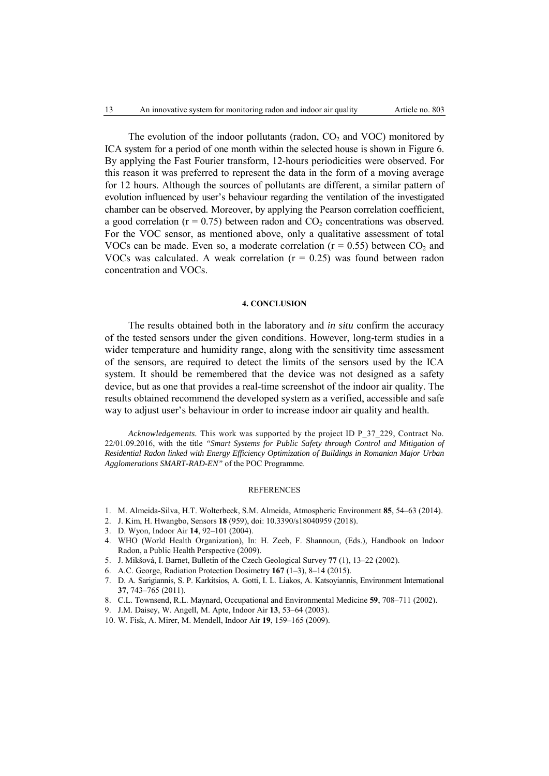The evolution of the indoor pollutants (radon,  $CO<sub>2</sub>$  and VOC) monitored by ICA system for a period of one month within the selected house is shown in Figure 6. By applying the Fast Fourier transform, 12-hours periodicities were observed. For this reason it was preferred to represent the data in the form of a moving average for 12 hours. Although the sources of pollutants are different, a similar pattern of evolution influenced by user's behaviour regarding the ventilation of the investigated chamber can be observed. Moreover, by applying the Pearson correlation coefficient, a good correlation ( $r = 0.75$ ) between radon and  $CO<sub>2</sub>$  concentrations was observed. For the VOC sensor, as mentioned above, only a qualitative assessment of total VOCs can be made. Even so, a moderate correlation ( $r = 0.55$ ) between  $CO<sub>2</sub>$  and VOCs was calculated. A weak correlation  $(r = 0.25)$  was found between radon concentration and VOCs.

### **4. CONCLUSION**

The results obtained both in the laboratory and *in situ* confirm the accuracy of the tested sensors under the given conditions. However, long-term studies in a wider temperature and humidity range, along with the sensitivity time assessment of the sensors, are required to detect the limits of the sensors used by the ICA system. It should be remembered that the device was not designed as a safety device, but as one that provides a real-time screenshot of the indoor air quality. The results obtained recommend the developed system as a verified, accessible and safe way to adjust user's behaviour in order to increase indoor air quality and health.

*Acknowledgements.* This work was supported by the project ID P\_37\_229, Contract No. 22/01.09.2016, with the title *"Smart Systems for Public Safety through Control and Mitigation of Residential Radon linked with Energy Efficiency Optimization of Buildings in Romanian Major Urban Agglomerations SMART-RAD-EN"* of the POC Programme.

### REFERENCES

- 1. M. Almeida-Silva, H.T. Wolterbeek, S.M. Almeida, Atmospheric Environment **85**, 54–63 (2014).
- 2. J. Kim, H. Hwangbo, Sensors **18** (959), doi: 10.3390/s18040959 (2018).
- 3. D. Wyon, Indoor Air **14**, 92–101 (2004).
- 4. WHO (World Health Organization), In: H. Zeeb, F. Shannoun, (Eds.), Handbook on Indoor Radon, a Public Health Perspective (2009).
- 5. J. Mikšová, I. Barnet, Bulletin of the Czech Geological Survey **77** (1), 13–22 (2002).
- 6. A.C. George, Radiation Protection Dosimetry **167** (1–3), 8–14 (2015).
- 7. D. A. Sarigiannis, S. P. Karkitsios, A. Gotti, I. L. Liakos, A. Katsoyiannis, Environment International **37**, 743–765 (2011).
- 8. C.L. Townsend, R.L. Maynard, Occupational and Environmental Medicine **59**, 708–711 (2002).
- 9. J.M. Daisey, W. Angell, M. Apte, Indoor Air **13**, 53–64 (2003).
- 10. W. Fisk, A. Mirer, M. Mendell, Indoor Air **19**, 159–165 (2009).